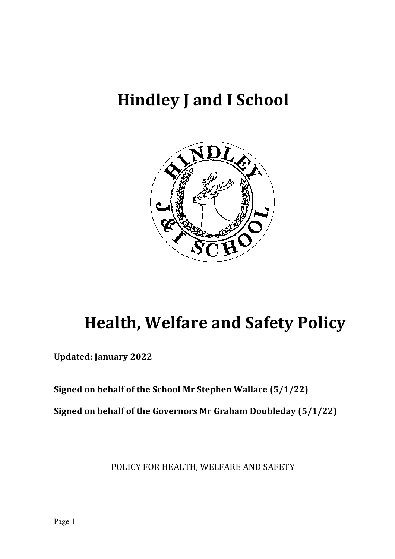# **Hindley J and I School**



# **Health, Welfare and Safety Policy**

**Updated: January 2022** 

**Signed on behalf of the School Mr Stephen Wallace (5/1/22)** 

**Signed on behalf of the Governors Mr Graham Doubleday (5/1/22)** 

POLICY FOR HEALTH, WELFARE AND SAFETY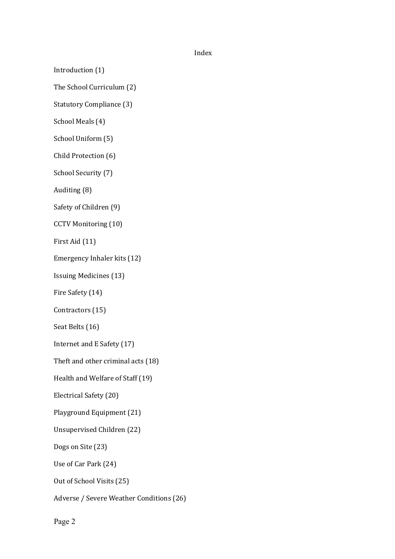#### Index

Introduction (1)

The School Curriculum (2)

Statutory Compliance (3)

School Meals (4)

School Uniform (5)

Child Protection (6)

School Security (7)

Auditing (8)

Safety of Children (9)

CCTV Monitoring (10)

First Aid (11)

Emergency Inhaler kits (12)

Issuing Medicines (13)

Fire Safety (14)

Contractors (15)

Seat Belts (16)

Internet and E Safety (17)

Theft and other criminal acts (18)

Health and Welfare of Staff (19)

Electrical Safety (20)

Playground Equipment (21)

Unsupervised Children (22)

Dogs on Site (23)

Use of Car Park (24)

Out of School Visits (25)

Adverse / Severe Weather Conditions (26)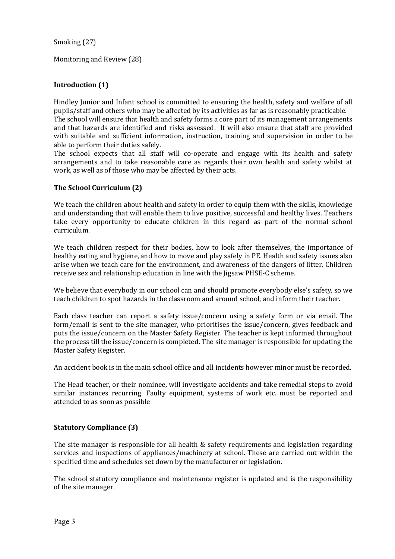Smoking (27)

Monitoring and Review (28)

## **Introduction (1)**

Hindley Junior and Infant school is committed to ensuring the health, safety and welfare of all pupils/staff and others who may be affected by its activities as far as is reasonably practicable.

The school will ensure that health and safety forms a core part of its management arrangements and that hazards are identified and risks assessed. It will also ensure that staff are provided with suitable and sufficient information, instruction, training and supervision in order to be able to perform their duties safely.

The school expects that all staff will co-operate and engage with its health and safety arrangements and to take reasonable care as regards their own health and safety whilst at work, as well as of those who may be affected by their acts.

### **The School Curriculum (2)**

We teach the children about health and safety in order to equip them with the skills, knowledge and understanding that will enable them to live positive, successful and healthy lives. Teachers take every opportunity to educate children in this regard as part of the normal school curriculum.

We teach children respect for their bodies, how to look after themselves, the importance of healthy eating and hygiene, and how to move and play safely in PE. Health and safety issues also arise when we teach care for the environment, and awareness of the dangers of litter. Children receive sex and relationship education in line with the Jigsaw PHSE-C scheme.

We believe that everybody in our school can and should promote everybody else's safety, so we teach children to spot hazards in the classroom and around school, and inform their teacher.

Each class teacher can report a safety issue/concern using a safety form or via email. The form/email is sent to the site manager, who prioritises the issue/concern, gives feedback and puts the issue/concern on the Master Safety Register. The teacher is kept informed throughout the process till the issue/concern is completed. The site manager is responsible for updating the Master Safety Register.

An accident book is in the main school office and all incidents however minor must be recorded.

The Head teacher, or their nominee, will investigate accidents and take remedial steps to avoid similar instances recurring. Faulty equipment, systems of work etc. must be reported and attended to as soon as possible

## **Statutory Compliance (3)**

The site manager is responsible for all health & safety requirements and legislation regarding services and inspections of appliances/machinery at school. These are carried out within the specified time and schedules set down by the manufacturer or legislation.

The school statutory compliance and maintenance register is updated and is the responsibility of the site manager.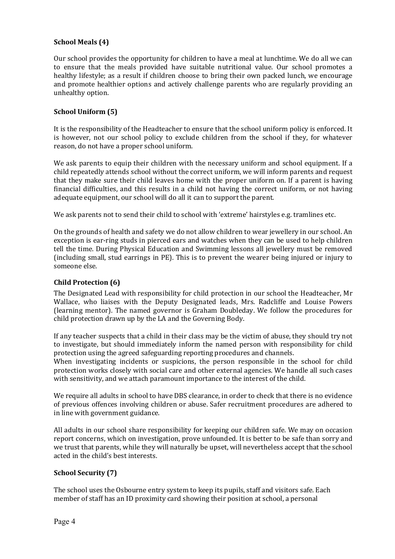#### **School Meals (4)**

Our school provides the opportunity for children to have a meal at lunchtime. We do all we can to ensure that the meals provided have suitable nutritional value. Our school promotes a healthy lifestyle; as a result if children choose to bring their own packed lunch, we encourage and promote healthier options and actively challenge parents who are regularly providing an unhealthy option.

### **School Uniform (5)**

It is the responsibility of the Headteacher to ensure that the school uniform policy is enforced. It is however, not our school policy to exclude children from the school if they, for whatever reason, do not have a proper school uniform.

We ask parents to equip their children with the necessary uniform and school equipment. If a child repeatedly attends school without the correct uniform, we will inform parents and request that they make sure their child leaves home with the proper uniform on. If a parent is having financial difficulties, and this results in a child not having the correct uniform, or not having adequate equipment, our school will do all it can to support the parent.

We ask parents not to send their child to school with 'extreme' hairstyles e.g. tramlines etc.

On the grounds of health and safety we do not allow children to wear jewellery in our school. An exception is ear-ring studs in pierced ears and watches when they can be used to help children tell the time. During Physical Education and Swimming lessons all jewellery must be removed (including small, stud earrings in PE). This is to prevent the wearer being injured or injury to someone else.

#### **Child Protection (6)**

The Designated Lead with responsibility for child protection in our school the Headteacher, Mr Wallace, who liaises with the Deputy Designated leads, Mrs. Radcliffe and Louise Powers (learning mentor). The named governor is Graham Doubleday. We follow the procedures for child protection drawn up by the LA and the Governing Body.

If any teacher suspects that a child in their class may be the victim of abuse, they should try not to investigate, but should immediately inform the named person with responsibility for child protection using the agreed safeguarding reporting procedures and channels.

When investigating incidents or suspicions, the person responsible in the school for child protection works closely with social care and other external agencies. We handle all such cases with sensitivity, and we attach paramount importance to the interest of the child.

We require all adults in school to have DBS clearance, in order to check that there is no evidence of previous offences involving children or abuse. Safer recruitment procedures are adhered to in line with government guidance.

All adults in our school share responsibility for keeping our children safe. We may on occasion report concerns, which on investigation, prove unfounded. It is better to be safe than sorry and we trust that parents, while they will naturally be upset, will nevertheless accept that the school acted in the child's best interests.

#### **School Security (7)**

The school uses the Osbourne entry system to keep its pupils, staff and visitors safe. Each member of staff has an ID proximity card showing their position at school, a personal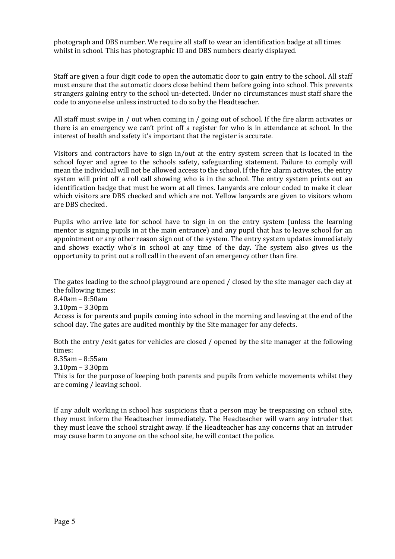photograph and DBS number. We require all staff to wear an identification badge at all times whilst in school. This has photographic ID and DBS numbers clearly displayed.

Staff are given a four digit code to open the automatic door to gain entry to the school. All staff must ensure that the automatic doors close behind them before going into school. This prevents strangers gaining entry to the school un-detected. Under no circumstances must staff share the code to anyone else unless instructed to do so by the Headteacher.

All staff must swipe in / out when coming in / going out of school. If the fire alarm activates or there is an emergency we can't print off a register for who is in attendance at school. In the interest of health and safety it's important that the register is accurate.

Visitors and contractors have to sign in/out at the entry system screen that is located in the school foyer and agree to the schools safety, safeguarding statement. Failure to comply will mean the individual will not be allowed access to the school. If the fire alarm activates, the entry system will print off a roll call showing who is in the school. The entry system prints out an identification badge that must be worn at all times. Lanyards are colour coded to make it clear which visitors are DBS checked and which are not. Yellow lanyards are given to visitors whom are DBS checked.

Pupils who arrive late for school have to sign in on the entry system (unless the learning mentor is signing pupils in at the main entrance) and any pupil that has to leave school for an appointment or any other reason sign out of the system. The entry system updates immediately and shows exactly who's in school at any time of the day. The system also gives us the opportunity to print out a roll call in the event of an emergency other than fire.

The gates leading to the school playground are opened / closed by the site manager each day at the following times:

8.40am – 8:50am

3.10pm – 3.30pm

Access is for parents and pupils coming into school in the morning and leaving at the end of the school day. The gates are audited monthly by the Site manager for any defects.

Both the entry /exit gates for vehicles are closed / opened by the site manager at the following times:

8.35am – 8:55am

3.10pm – 3.30pm

This is for the purpose of keeping both parents and pupils from vehicle movements whilst they are coming / leaving school.

If any adult working in school has suspicions that a person may be trespassing on school site, they must inform the Headteacher immediately. The Headteacher will warn any intruder that they must leave the school straight away. If the Headteacher has any concerns that an intruder may cause harm to anyone on the school site, he will contact the police.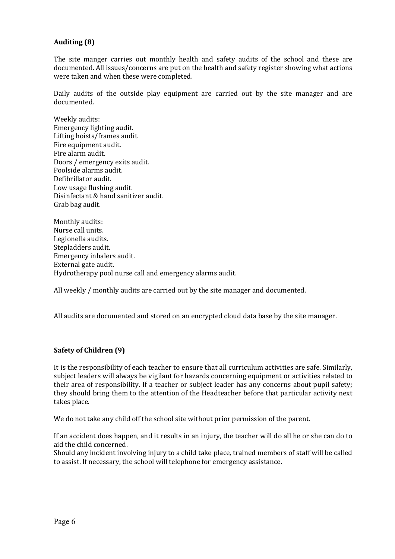#### **Auditing (8)**

The site manger carries out monthly health and safety audits of the school and these are documented. All issues/concerns are put on the health and safety register showing what actions were taken and when these were completed.

Daily audits of the outside play equipment are carried out by the site manager and are documented.

- Weekly audits: Emergency lighting audit. Lifting hoists/frames audit. Fire equipment audit. Fire alarm audit. Doors / emergency exits audit. Poolside alarms audit. Defibrillator audit. Low usage flushing audit. Disinfectant & hand sanitizer audit. Grab bag audit.
- Monthly audits: Nurse call units. Legionella audits. Stepladders audit. Emergency inhalers audit. External gate audit. Hydrotherapy pool nurse call and emergency alarms audit.

All weekly / monthly audits are carried out by the site manager and documented.

All audits are documented and stored on an encrypted cloud data base by the site manager.

#### **Safety of Children (9)**

It is the responsibility of each teacher to ensure that all curriculum activities are safe. Similarly, subject leaders will always be vigilant for hazards concerning equipment or activities related to their area of responsibility. If a teacher or subject leader has any concerns about pupil safety; they should bring them to the attention of the Headteacher before that particular activity next takes place.

We do not take any child off the school site without prior permission of the parent.

If an accident does happen, and it results in an injury, the teacher will do all he or she can do to aid the child concerned.

Should any incident involving injury to a child take place, trained members of staff will be called to assist. If necessary, the school will telephone for emergency assistance.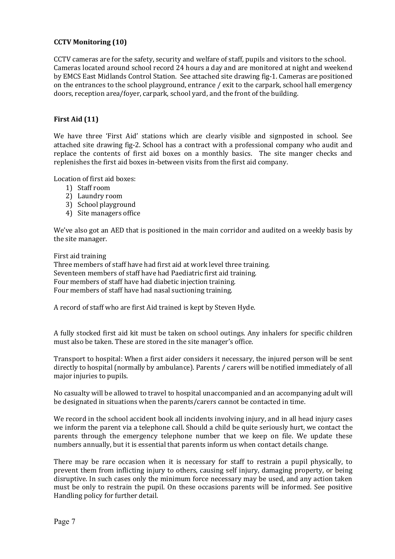#### **CCTV Monitoring (10)**

CCTV cameras are for the safety, security and welfare of staff, pupils and visitors to the school. Cameras located around school record 24 hours a day and are monitored at night and weekend by EMCS East Midlands Control Station. See attached site drawing fig-1. Cameras are positioned on the entrances to the school playground, entrance / exit to the carpark, school hall emergency doors, reception area/foyer, carpark, school yard, and the front of the building.

#### **First Aid (11)**

We have three 'First Aid' stations which are clearly visible and signposted in school. See attached site drawing fig-2. School has a contract with a professional company who audit and replace the contents of first aid boxes on a monthly basics. The site manger checks and replenishes the first aid boxes in-between visits from the first aid company.

Location of first aid boxes:

- 1) Staff room
- 2) Laundry room
- 3) School playground
- 4) Site managers office

We've also got an AED that is positioned in the main corridor and audited on a weekly basis by the site manager.

#### First aid training

Three members of staff have had first aid at work level three training. Seventeen members of staff have had Paediatric first aid training. Four members of staff have had diabetic injection training. Four members of staff have had nasal suctioning training.

A record of staff who are first Aid trained is kept by Steven Hyde.

A fully stocked first aid kit must be taken on school outings. Any inhalers for specific children must also be taken. These are stored in the site manager's office.

Transport to hospital: When a first aider considers it necessary, the injured person will be sent directly to hospital (normally by ambulance). Parents / carers will be notified immediately of all major injuries to pupils.

No casualty will be allowed to travel to hospital unaccompanied and an accompanying adult will be designated in situations when the parents/carers cannot be contacted in time.

We record in the school accident book all incidents involving injury, and in all head injury cases we inform the parent via a telephone call. Should a child be quite seriously hurt, we contact the parents through the emergency telephone number that we keep on file. We update these numbers annually, but it is essential that parents inform us when contact details change.

There may be rare occasion when it is necessary for staff to restrain a pupil physically, to prevent them from inflicting injury to others, causing self injury, damaging property, or being disruptive. In such cases only the minimum force necessary may be used, and any action taken must be only to restrain the pupil. On these occasions parents will be informed. See positive Handling policy for further detail.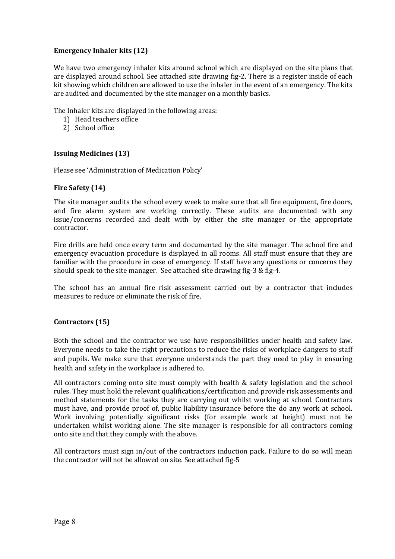#### **Emergency Inhaler kits (12)**

We have two emergency inhaler kits around school which are displayed on the site plans that are displayed around school. See attached site drawing fig-2. There is a register inside of each kit showing which children are allowed to use the inhaler in the event of an emergency. The kits are audited and documented by the site manager on a monthly basics.

The Inhaler kits are displayed in the following areas:

- 1) Head teachers office
- 2) School office

#### **Issuing Medicines (13)**

Please see 'Administration of Medication Policy'

#### **Fire Safety (14)**

The site manager audits the school every week to make sure that all fire equipment, fire doors, and fire alarm system are working correctly. These audits are documented with any issue/concerns recorded and dealt with by either the site manager or the appropriate contractor.

Fire drills are held once every term and documented by the site manager. The school fire and emergency evacuation procedure is displayed in all rooms. All staff must ensure that they are familiar with the procedure in case of emergency. If staff have any questions or concerns they should speak to the site manager. See attached site drawing fig-3 & fig-4.

The school has an annual fire risk assessment carried out by a contractor that includes measures to reduce or eliminate the risk of fire.

#### **Contractors (15)**

Both the school and the contractor we use have responsibilities under health and safety law. Everyone needs to take the right precautions to reduce the risks of workplace dangers to staff and pupils. We make sure that everyone understands the part they need to play in ensuring health and safety in the workplace is adhered to.

All contractors coming onto site must comply with health & safety legislation and the school rules. They must hold the relevant qualifications/certification and provide risk assessments and method statements for the tasks they are carrying out whilst working at school. Contractors must have, and provide proof of, public liability insurance before the do any work at school. Work involving potentially significant risks (for example work at height) must not be undertaken whilst working alone. The site manager is responsible for all contractors coming onto site and that they comply with the above.

All contractors must sign in/out of the contractors induction pack. Failure to do so will mean the contractor will not be allowed on site. See attached fig-5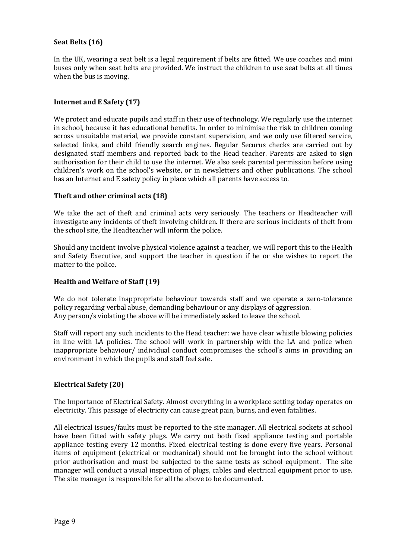#### **Seat Belts (16)**

In the UK, wearing a seat belt is a legal requirement if belts are fitted. We use coaches and mini buses only when seat belts are provided. We instruct the children to use seat belts at all times when the bus is moving.

#### **Internet and E Safety (17)**

We protect and educate pupils and staff in their use of technology. We regularly use the internet in school, because it has educational benefits. In order to minimise the risk to children coming across unsuitable material, we provide constant supervision, and we only use filtered service, selected links, and child friendly search engines. Regular Securus checks are carried out by designated staff members and reported back to the Head teacher. Parents are asked to sign authorisation for their child to use the internet. We also seek parental permission before using children's work on the school's website, or in newsletters and other publications. The school has an Internet and E safety policy in place which all parents have access to.

#### **Theft and other criminal acts (18)**

We take the act of theft and criminal acts very seriously. The teachers or Headteacher will investigate any incidents of theft involving children. If there are serious incidents of theft from the school site, the Headteacher will inform the police.

Should any incident involve physical violence against a teacher, we will report this to the Health and Safety Executive, and support the teacher in question if he or she wishes to report the matter to the police.

#### **Health and Welfare of Staff (19)**

We do not tolerate inappropriate behaviour towards staff and we operate a zero-tolerance policy regarding verbal abuse, demanding behaviour or any displays of aggression. Any person/s violating the above will be immediately asked to leave the school.

Staff will report any such incidents to the Head teacher: we have clear whistle blowing policies in line with LA policies. The school will work in partnership with the LA and police when inappropriate behaviour/ individual conduct compromises the school's aims in providing an environment in which the pupils and staff feel safe.

#### **Electrical Safety (20)**

The Importance of Electrical Safety. Almost everything in a workplace setting today operates on electricity. This passage of electricity can cause great pain, burns, and even fatalities.

All electrical issues/faults must be reported to the site manager. All electrical sockets at school have been fitted with safety plugs. We carry out both fixed appliance testing and portable appliance testing every 12 months. Fixed electrical testing is done every five years. Personal items of equipment (electrical or mechanical) should not be brought into the school without prior authorisation and must be subjected to the same tests as school equipment. The site manager will conduct a visual inspection of plugs, cables and electrical equipment prior to use. The site manager is responsible for all the above to be documented.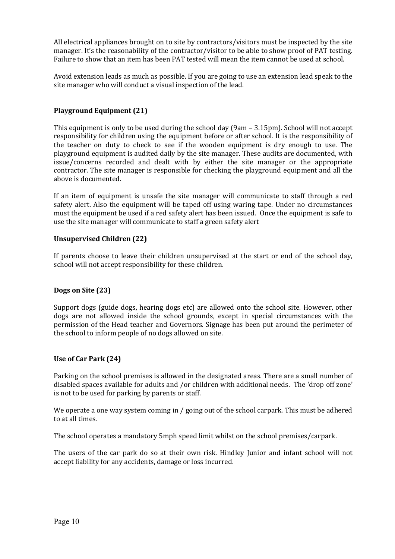All electrical appliances brought on to site by contractors/visitors must be inspected by the site manager. It's the reasonability of the contractor/visitor to be able to show proof of PAT testing. Failure to show that an item has been PAT tested will mean the item cannot be used at school.

Avoid extension leads as much as possible. If you are going to use an extension lead speak to the site manager who will conduct a visual inspection of the lead.

#### **Playground Equipment (21)**

This equipment is only to be used during the school day (9am – 3.15pm). School will not accept responsibility for children using the equipment before or after school. It is the responsibility of the teacher on duty to check to see if the wooden equipment is dry enough to use. The playground equipment is audited daily by the site manager. These audits are documented, with issue/concerns recorded and dealt with by either the site manager or the appropriate contractor. The site manager is responsible for checking the playground equipment and all the above is documented.

If an item of equipment is unsafe the site manager will communicate to staff through a red safety alert. Also the equipment will be taped off using waring tape. Under no circumstances must the equipment be used if a red safety alert has been issued. Once the equipment is safe to use the site manager will communicate to staff a green safety alert

#### **Unsupervised Children (22)**

If parents choose to leave their children unsupervised at the start or end of the school day, school will not accept responsibility for these children.

#### **Dogs on Site (23)**

Support dogs (guide dogs, hearing dogs etc) are allowed onto the school site. However, other dogs are not allowed inside the school grounds, except in special circumstances with the permission of the Head teacher and Governors. Signage has been put around the perimeter of the school to inform people of no dogs allowed on site.

#### **Use of Car Park (24)**

Parking on the school premises is allowed in the designated areas. There are a small number of disabled spaces available for adults and /or children with additional needs. The 'drop off zone' is not to be used for parking by parents or staff.

We operate a one way system coming in / going out of the school carpark. This must be adhered to at all times.

The school operates a mandatory 5mph speed limit whilst on the school premises/carpark.

The users of the car park do so at their own risk. Hindley Junior and infant school will not accept liability for any accidents, damage or loss incurred.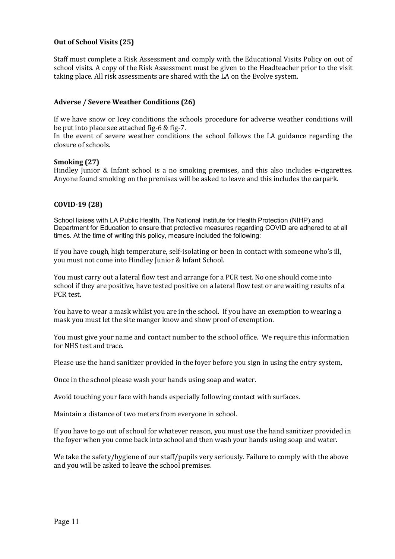#### **Out of School Visits (25)**

Staff must complete a Risk Assessment and comply with the Educational Visits Policy on out of school visits. A copy of the Risk Assessment must be given to the Headteacher prior to the visit taking place. All risk assessments are shared with the LA on the Evolve system.

#### **Adverse / Severe Weather Conditions (26)**

If we have snow or Icey conditions the schools procedure for adverse weather conditions will be put into place see attached fig-6 & fig-7.

In the event of severe weather conditions the school follows the LA guidance regarding the closure of schools.

#### **Smoking (27)**

Hindley Junior & Infant school is a no smoking premises, and this also includes e-cigarettes. Anyone found smoking on the premises will be asked to leave and this includes the carpark.

#### **COVID-19 (28)**

School liaises with LA Public Health, The National Institute for Health Protection (NIHP) and Department for Education to ensure that protective measures regarding COVID are adhered to at all times. At the time of writing this policy, measure included the following:

If you have cough, high temperature, self-isolating or been in contact with someone who's ill, you must not come into Hindley Junior & Infant School.

You must carry out a lateral flow test and arrange for a PCR test. No one should come into school if they are positive, have tested positive on a lateral flow test or are waiting results of a PCR test.

You have to wear a mask whilst you are in the school. If you have an exemption to wearing a mask you must let the site manger know and show proof of exemption.

You must give your name and contact number to the school office. We require this information for NHS test and trace.

Please use the hand sanitizer provided in the foyer before you sign in using the entry system,

Once in the school please wash your hands using soap and water.

Avoid touching your face with hands especially following contact with surfaces.

Maintain a distance of two meters from everyone in school.

If you have to go out of school for whatever reason, you must use the hand sanitizer provided in the foyer when you come back into school and then wash your hands using soap and water.

We take the safety/hygiene of our staff/pupils very seriously. Failure to comply with the above and you will be asked to leave the school premises.